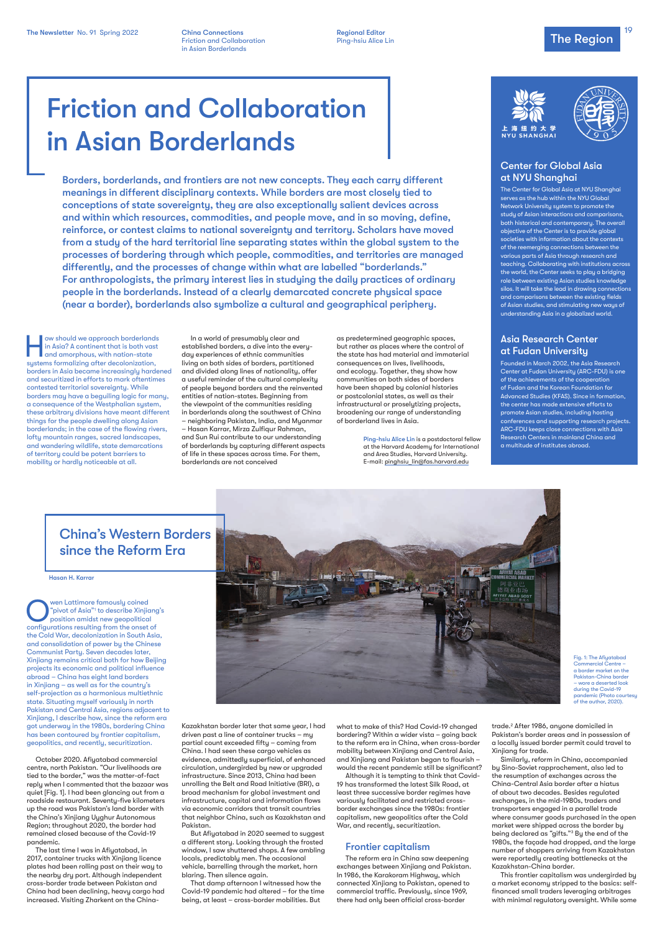Hasan H. Karrar

Wen Lattimore famously coined<br>
"pivot of Asia"<sup>1</sup> to describe Xinjian<br>
position amidst new geopolitical<br>
configuration resulting from the political "pivot of Asia"1 to describe Xinjiang's configurations resulting from the onset of the Cold War, decolonization in South Asia, and consolidation of power by the Chinese Communist Party. Seven decades later, Xinjiang remains critical both for how Beijing projects its economic and political influence abroad – China has eight land borders in Xinjiang – as well as for the country's self-projection as a harmonious multiethnic state. Situating myself variously in north



Pakistan and Central Asia, regions adjacent to Xinjiang, I describe how, since the reform era got underway in the 1980s, bordering China has been contoured by frontier capitalism, geopolitics, and recently, securitization.

October 2020. Afiyatabad commercial centre, north Pakistan. "Our livelihoods are tied to the border," was the matter-of-fact reply when I commented that the bazaar was quiet [Fig. 1]. I had been glancing out from a roadside restaurant. Seventy-five kilometers up the road was Pakistan's land border with the China's Xinjiang Uyghur Autonomous Region; throughout 2020, the border had remained closed because of the Covid-19 pandemic.

The last time I was in Afiyatabad, in 2017, container trucks with Xinjiang licence plates had been rolling past on their way to the nearby dry port. Although independent cross-border trade between Pakistan and China had been declining, heavy cargo had increased. Visiting Zharkent on the ChinaFig. 1: The Afiyatabad Commercial Centre – a border market on the Pakistan-China border – wore a deserted look during the Covid-19 pandemic (Photo courtesu of the author, 2020).

Kazakhstan border later that same year, I had driven past a line of container trucks – my partial count exceeded fifty – coming from China. I had seen these cargo vehicles as evidence, admittedly superficial, of enhanced circulation, undergirded by new or upgraded infrastructure. Since 2013, China had been unrolling the Belt and Road Initiative (BRI), a broad mechanism for global investment and infrastructure, capital and information flows via economic corridors that transit countries that neighbor China, such as Kazakhstan and Pakistan.

But Afiyatabad in 2020 seemed to suggest a different story. Looking through the frosted window, I saw shuttered shops. A few ambling locals, predictably men. The occasional vehicle, barrelling through the market, horn blaring. Then silence again.

That damp afternoon I witnessed how the Covid-19 pandemic had altered – for the time being, at least – cross-border mobilities. But

what to make of this? Had Covid-19 changed bordering? Within a wider vista – going back to the reform era in China, when cross-border mobility between Xinjiang and Central Asia, and Xinjiang and Pakistan began to flourish – would the recent pandemic still be significant?

The Newsletter No. 91 Spring 2022 China Connections Connection Regional Editor Regional Editor Connection Collaboration Collaboration Ping-hsiu Alice Lin Connection Collaboration Ping-hsiu Alice Lin Connection Collaboratio **China Connections Regional Editor** Regional Editor Friction and Collaboration **Ping-hsiu Alice Lin** in Asian Borderlands

Although it is tempting to think that Covid-19 has transformed the latest Silk Road, at least three successive border regimes have variously facilitated and restricted crossborder exchanges since the 1980s: frontier capitalism, new geopolitics after the Cold War, and recently, securitization.

### Frontier capitalism

The reform era in China saw deepening exchanges between Xinjiang and Pakistan. In 1986, the Karakoram Highway, which connected Xinjiang to Pakistan, opened to commercial traffic. Previously, since 1969, there had only been official cross-border

trade.2 After 1986, anyone domiciled in Pakistan's border areas and in possession of a locally issued border permit could travel to Xinjiang for trade.

ow should we approach borderlands in Asia? A continent that is both vast **and amorphous, with nation-state** systems formalizing after decolonization, borders in Asia became increasingly hardened and securitized in efforts to mark oftentimes contested territorial sovereignty. While borders may have a beguiling logic for many, a consequence of the Westphalian system, these arbitrary divisions have meant different things for the people dwelling along Asian borderlands; in the case of the flowing rivers, lofty mountain ranges, sacred landscapes, and wandering wildlife, state demarcations of territory could be potent barriers to mobility or hardly noticeable at all.

> Similarly, reform in China, accompanied by Sino-Soviet rapprochement, also led to the resumption of exchanges across the China-Central Asia border after a hiatus of about two decades. Besides regulated exchanges, in the mid-1980s, traders and transporters engaged in a parallel trade where consumer goods purchased in the open market were shipped across the border by being declared as "gifts."3 By the end of the 1980s, the façade had dropped, and the large number of shoppers arriving from Kazakhstan were reportedly creating bottlenecks at the Kazakhstan-China border.

This frontier capitalism was undergirded by a market economy stripped to the basics: selffinanced small traders leveraging arbitrages with minimal regulatory oversight. While some

### Center for Global Asia at NYU Shanghai

The Center for Global Asia at NYU Shanghai serves as the hub within the NYU Global Network University system to promote the study of Asian interactions and comparisons, both historical and contemporary. The overall objective of the Center is to provide global societies with information about the contexts of the reemerging connections between the various parts of Asia through research and teaching. Collaborating with institutions across the world, the Center seeks to play a bridging role between existing Asian studies knowledge silos. It will take the lead in drawing connections and comparisons between the existing fields of Asian studies, and stimulating new ways of understanding Asia in a globalized world.

### Asia Research Center at Fudan University

Founded in March 2002, the Asia Research Center at Fudan University (ARC-FDU) is one of the achievements of the cooperation of Fudan and the Korean Foundation for Advanced Studies (KFAS). Since in formation, the center has made extensive efforts to promote Asian studies, including hosting conferences and supporting research projects. ARC-FDU keeps close connections with Asia Research Centers in mainland China and a multitude of institutes abroad.

# Friction and Collaboration in Asian Borderlands

Borders, borderlands, and frontiers are not new concepts. They each carry different meanings in different disciplinary contexts. While borders are most closely tied to conceptions of state sovereignty, they are also exceptionally salient devices across and within which resources, commodities, and people move, and in so moving, define, reinforce, or contest claims to national sovereignty and territory. Scholars have moved from a study of the hard territorial line separating states within the global system to the processes of bordering through which people, commodities, and territories are managed differently, and the processes of change within what are labelled "borderlands." For anthropologists, the primary interest lies in studying the daily practices of ordinary people in the borderlands. Instead of a clearly demarcated concrete physical space (near a border), borderlands also symbolize a cultural and geographical periphery.

> In a world of presumably clear and established borders, a dive into the everydau experiences of ethnic communities living on both sides of borders, partitioned and divided along lines of nationality, offer a useful reminder of the cultural complexity of people beyond borders and the reinvented entities of nation-states. Beginning from the viewpoint of the communities residing in borderlands along the southwest of China – neighboring Pakistan, India, and Myanmar – Hasan Karrar, Mirza Zulfiqur Rahman, and Sun Rui contribute to our understanding of borderlands by capturing different aspects of life in these spaces across time. For them, borderlands are not conceived

as predetermined geographic spaces, but rather as places where the control of the state has had material and immaterial consequences on lives, livelihoods, and ecology. Together, they show how communities on both sides of borders have been shaped by colonial histories or postcolonial states, as well as their infrastructural or proselytizing projects, broadening our range of understanding of borderland lives in Asia.

> Ping-hsiu Alice Lin is a postdoctoral fellow at the Harvard Academy for International and Area Studies, Harvard University. E-mail: pinghsiu\_lin@fas.harvard.edu





## China's Western Borders since the Reform Era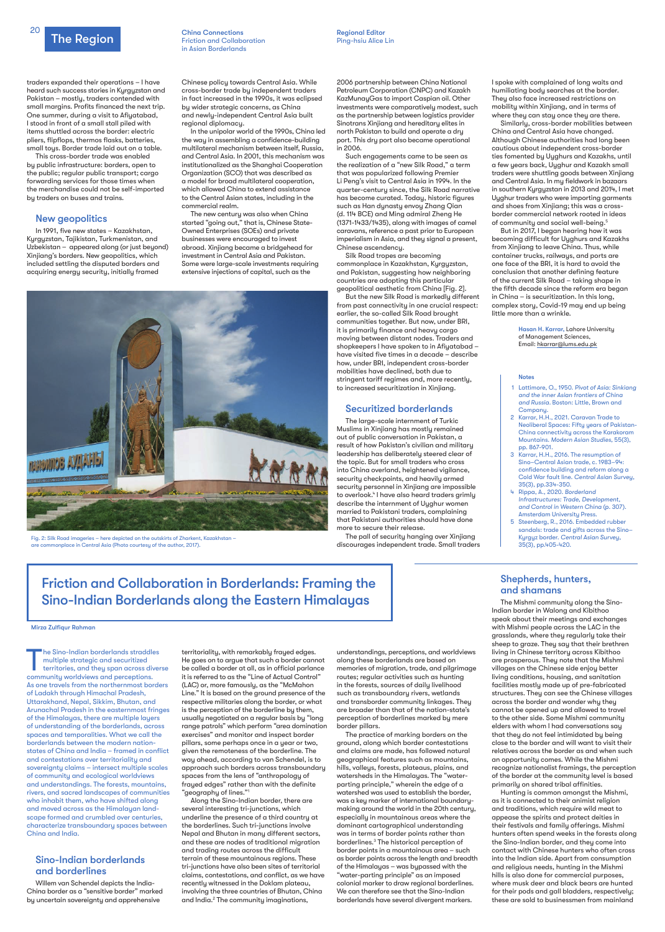

traders expanded their operations – I have heard such success stories in Kyrgyzstan and Pakistan – mostly, traders contended with small margins. Profits financed the next trip. One summer, during a visit to Afiyatabad, I stood in front of a small stall piled with items shuttled across the border: electric pliers, flipflops, thermos flasks, batteries, small toys. Border trade laid out on a table.

This cross-border trade was enabled by public infrastructure: borders, open to the public; regular public transport; cargo forwarding services for those times when the merchandise could not be self-imported by traders on buses and trains.

### New geopolitics

In 1991, five new states – Kazakhstan, Kyrgyzstan, Tajikistan, Turkmenistan, and Uzbekistan – appeared along (or just beyond) Xinjiang's borders. New geopolitics, which included settling the disputed borders and acquiring energy security, initially framed

Chinese policy towards Central Asia. While cross-border trade by independent traders in fact increased in the 1990s, it was eclipsed by wider strategic concerns, as China and newly-independent Central Asia built regional diplomacy.

In the unipolar world of the 1990s, China led the way in assembling a confidence-building multilateral mechanism between itself, Russia, and Central Asia. In 2001, this mechanism was institutionalized as the Shanghai Cooperation Organization (SCO) that was described as a model for broad multilateral cooperation, which allowed China to extend assistance to the Central Asian states, including in the commercial realm.

The new century was also when China started "going out," that is, Chinese State-Owned Enterprises (SOEs) and private businesses were encouraged to invest abroad. Xinjiang became a bridgehead for investment in Central Asia and Pakistan. Some were large-scale investments requiring extensive injections of capital, such as the

2006 partnership between China National Petroleum Corporation (CNPC) and Kazakh KazMunayGas to import Caspian oil. Other investments were comparatively modest, such as the partnership between logistics provider Sinotrans Xinjiang and hereditary elites in north Pakistan to build and operate a dry port. This dry port also became operational in 2006.

Similarly, cross-border mobilities between China and Central Asia have changed. Although Chinese authorities had long been cautious about independent cross-border ties fomented by Uyghurs and Kazakhs, until a few years back, Uyghur and Kazakh small traders were shuttling goods between Xinjiang and Central Asia. In my fieldwork in bazaars in southern Kyrgyzstan in 2013 and 2014, I met Uyghur traders who were importing garments and shoes from Xinjiang; this was a crossborder commercial network rooted in ideas of community and social well-being.<sup>5</sup>

Such engagements came to be seen as the realization of a "new Silk Road," a term that was popularized following Premier Li Peng's visit to Central Asia in 1994. In the quarter-century since, the Silk Road narrative has become curated. Today, historic figures such as Han dynasty envoy Zhang Qian (d. 114 BCE) and Ming admiral Zheng He (1371-1433/1435), along with images of camel caravans, reference a past prior to European imperialism in Asia, and they signal a present, Chinese ascendency.

Silk Road tropes are becoming commonplace in Kazakhstan, Kyrgyzstan, and Pakistan, suggesting how neighboring countries are adopting this particular geopolitical aesthetic from China [Fig. 2].

But the new Silk Road is markedly different from past connectivity in one crucial respect: earlier, the so-called Silk Road brought communities together. But now, under BRI, it is primarily finance and heavy cargo moving between distant nodes. Traders and shopkeepers I have spoken to in Afiyatabad – have visited five times in a decade – describe how, under BRI, independent cross-border mobilities have declined, both due to stringent tariff regimes and, more recently, to increased securitization in Xinjiang.

### Securitized borderlands

The Sino-Indian borderlands straddles<br>
multiple strategic and securitized<br>
territories, and they span across diverse<br>
community worldvious and paramisms multiple strategic and securitized community worldviews and perceptions. As one travels from the northernmost borders of Ladakh through Himachal Pradesh, Uttarakhand, Nepal, Sikkim, Bhutan, and Arunachal Pradesh in the easternmost fringes of the Himalayas, there are multiple layers of understanding of the borderlands, across spaces and temporalities. What we call the borderlands between the modern nationstates of China and India – framed in conflict and contestations over territoriality and sovereignty claims – intersect multiple scales of community and ecological worldviews and understandings. The forests, mountains, rivers, and sacred landscapes of communities who inhabit them, who have shifted along and moved across as the Himalayan landscape formed and crumbled over centuries, characterize transboundary spaces between China and India.

The large-scale internment of Turkic Muslims in Xinjiang has mostly remained out of public conversation in Pakistan, a result of how Pakistan's civilian and military leadership has deliberately steered clear of the topic. But for small traders who cross into China overland, heightened vigilance, security checkpoints, and heavily armed security personnel in Xinjiang are impossible to overlook.<sup>4</sup> I have also heard traders grimly describe the internment of Uyghur women married to Pakistani traders, complaining that Pakistani authorities should have done more to secure their release.

territoriality, with remarkably frayed edges. He goes on to argue that such a border cannot be called a border at all, as in official parlance it is referred to as the "Line of Actual Control" (LAC) or, more famously, as the "McMahon Line." It is based on the ground presence of the respective militaries along the border, or what is the perception of the borderline by them, usually negotiated on a regular basis by "long range patrols" which perform "area domination exercises" and monitor and inspect border pillars, some perhaps once in a year or two, given the remoteness of the borderline. The way ahead, according to van Schendel, is to approach such borders across transboundary spaces from the lens of "anthropology of frayed edges" rather than with the definite "geography of lines."1 Along the Sino-Indian border, there are several interesting tri-junctions, which underline the presence of a third country at the borderlines. Such tri-junctions involve Nepal and Bhutan in many different sectors, and these are nodes of traditional migration and trading routes across the difficult terrain of these mountainous regions. These tri-junctions have also been sites of territorial claims, contestations, and conflict, as we have recently witnessed in the Doklam plateau, involving the three countries of Bhutan, China and India.<sup>2</sup> The community imaginations,

The pall of security hanging over Xinjiang discourages independent trade. Small traders I spoke with complained of long waits and humiliating body searches at the border. They also face increased restrictions on mobility within Xinjiang, and in terms of where they can stay once they are there.

But in 2017, I began hearing how it was becoming difficult for Uyghurs and Kazakhs from Xinjiang to leave China. Thus, while container trucks, railways, and ports are one face of the BRI, it is hard to avoid the conclusion that another defining feature of the current Silk Road – taking shape in the fifth decade since the reform era began in China – is securitization. In this long, complex story, Covid-19 may end up being little more than a wrinkle.

> Hasan H. Karrar, Lahore University of Management Sciences, Email: hkarrar@lums.edu.pk

in Asian Borderlands

### Notes

- 1 Lattimore, O., 1950. *Pivot of Asia: Sinkiang and the inner Asian frontiers of China and Russia.* Boston: Little, Brown and Company.
- 2 Karrar, H.H., 2021. Caravan Trade to Neoliberal Spaces: Fifty years of Pakistan-China connectivity across the Karakoram Mountains. *Modern Asian Studies,* 55(3), pp. 867-901.
- 3 Karrar, H.H., 2016. The resumption of Sino–Central Asian trade, c. 1983–94: confidence building and reform along a Cold War fault line. *Central Asian Survey,*  35(3), pp.334-350.
- 4 Rippa, A., 2020. *Borderland Infrastructures: Trade, Development, and Control in Western China* (p. 307). Amsterdam University Press.
- 5 Steenberg, R., 2016. Embedded rubber sandals: trade and gifts across the Sino– Kyrgyz border. *Central Asian Survey,*  35(3), pp.405-420.



Fig. 2: Silk Road imageries – here depicted on the outskirts of Zharkent, Kazakhstan – are commonplace in Central Asia (Photo courtesy of the author, 2017).

### **China Connections China Connections** Regional Editor Friction and Collaboration **Ping-hsiu Alice Lin**

#### Mirza Zulfiqur Rahman

## Friction and Collaboration in Borderlands: Framing the Sino-Indian Borderlands along the Eastern Himalayas

### Sino-Indian borderlands and borderlines

Willem van Schendel depicts the India-China border as a "sensitive border" marked by uncertain sovereignty and apprehensive

understandings, perceptions, and worldviews along these borderlands are based on memories of migration, trade, and pilgrimage routes; regular activities such as hunting in the forests, sources of daily livelihood such as transboundary rivers, wetlands and transborder community linkages. They

are broader than that of the nation-state's perception of borderlines marked by mere border pillars.

The practice of marking borders on the ground, along which border contestations and claims are made, has followed natural geographical features such as mountains, hills, valleys, forests, plateaus, plains, and watersheds in the Himalayas. The "waterparting principle," wherein the edge of a watershed was used to establish the border, was a key marker of international boundarymaking around the world in the 20th century, especially in mountainous areas where the dominant cartographical understanding was in terms of border points rather than borderlines.<sup>3</sup> The historical perception of border points in a mountainous area – such as border points across the length and breadth of the Himalayas – was bypassed with the "water-parting principle" as an imposed colonial marker to draw regional borderlines. We can therefore see that the Sino-Indian borderlands have several divergent markers.

### Shepherds, hunters, and shamans

The Mishmi community along the Sino-Indian border in Walong and Kibithoo speak about their meetings and exchanges with Mishmi people across the LAC in the grasslands, where they regularly take their sheep to graze. They say that their brethren living in Chinese territory across Kibithoo are prosperous. They note that the Mishmi villages on the Chinese side enjoy better living conditions, housing, and sanitation facilities mostly made up of pre-fabricated structures. They can see the Chinese villages across the border and wonder why they cannot be opened up and allowed to travel to the other side. Some Mishmi community elders with whom I had conversations say that they do not feel intimidated by being close to the border and will want to visit their relatives across the border as and when such an opportunity comes. While the Mishmi recognize nationalist framings, the perception of the border at the community level is based primarily on shared tribal affinities. Hunting is common amongst the Mishmi, as it is connected to their animist religion and traditions, which require wild meat to appease the spirits and protect deities in their festivals and family offerings. Mishmi hunters often spend weeks in the forests along the Sino-Indian border, and they come into contact with Chinese hunters who often cross into the Indian side. Apart from consumption and religious needs, hunting in the Mishmi hills is also done for commercial purposes, where musk deer and black bears are hunted for their pods and gall bladders, respectively; these are sold to businessmen from mainland